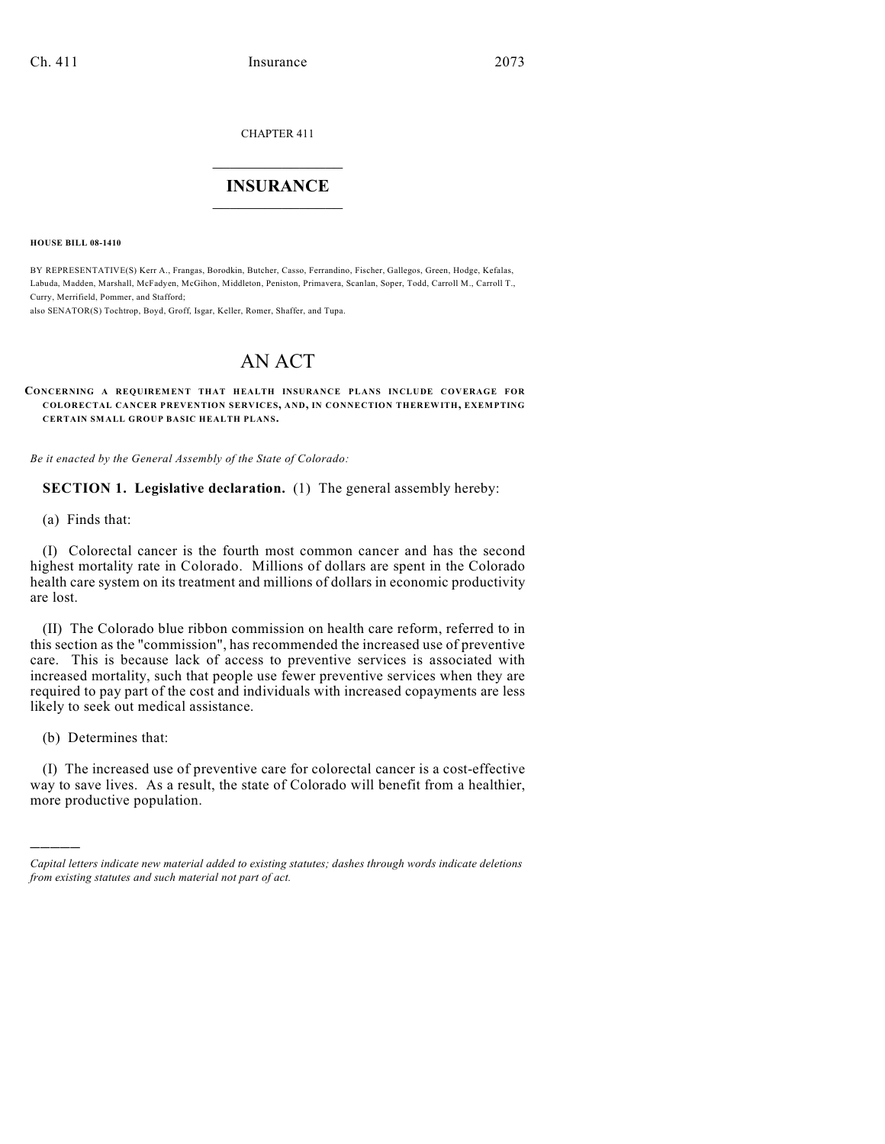CHAPTER 411

## $\mathcal{L}_\text{max}$  . The set of the set of the set of the set of the set of the set of the set of the set of the set of the set of the set of the set of the set of the set of the set of the set of the set of the set of the set **INSURANCE**  $\frac{1}{2}$  ,  $\frac{1}{2}$  ,  $\frac{1}{2}$  ,  $\frac{1}{2}$  ,  $\frac{1}{2}$  ,  $\frac{1}{2}$  ,  $\frac{1}{2}$

**HOUSE BILL 08-1410**

BY REPRESENTATIVE(S) Kerr A., Frangas, Borodkin, Butcher, Casso, Ferrandino, Fischer, Gallegos, Green, Hodge, Kefalas, Labuda, Madden, Marshall, McFadyen, McGihon, Middleton, Peniston, Primavera, Scanlan, Soper, Todd, Carroll M., Carroll T., Curry, Merrifield, Pommer, and Stafford;

also SENATOR(S) Tochtrop, Boyd, Groff, Isgar, Keller, Romer, Shaffer, and Tupa.

# AN ACT

#### **CONCERNING A REQUIREMENT THAT HEALTH INSURANCE PLANS INCLUDE COVERAGE FOR COLORECTAL CANCER PREVENTION SERVICES, AND, IN CONNECTION THEREWITH, EXEMPTING CERTAIN SMALL GROUP BASIC HEALTH PLANS.**

*Be it enacted by the General Assembly of the State of Colorado:*

**SECTION 1. Legislative declaration.** (1) The general assembly hereby:

(a) Finds that:

(I) Colorectal cancer is the fourth most common cancer and has the second highest mortality rate in Colorado. Millions of dollars are spent in the Colorado health care system on its treatment and millions of dollars in economic productivity are lost.

(II) The Colorado blue ribbon commission on health care reform, referred to in this section as the "commission", has recommended the increased use of preventive care. This is because lack of access to preventive services is associated with increased mortality, such that people use fewer preventive services when they are required to pay part of the cost and individuals with increased copayments are less likely to seek out medical assistance.

(b) Determines that:

)))))

(I) The increased use of preventive care for colorectal cancer is a cost-effective way to save lives. As a result, the state of Colorado will benefit from a healthier, more productive population.

*Capital letters indicate new material added to existing statutes; dashes through words indicate deletions from existing statutes and such material not part of act.*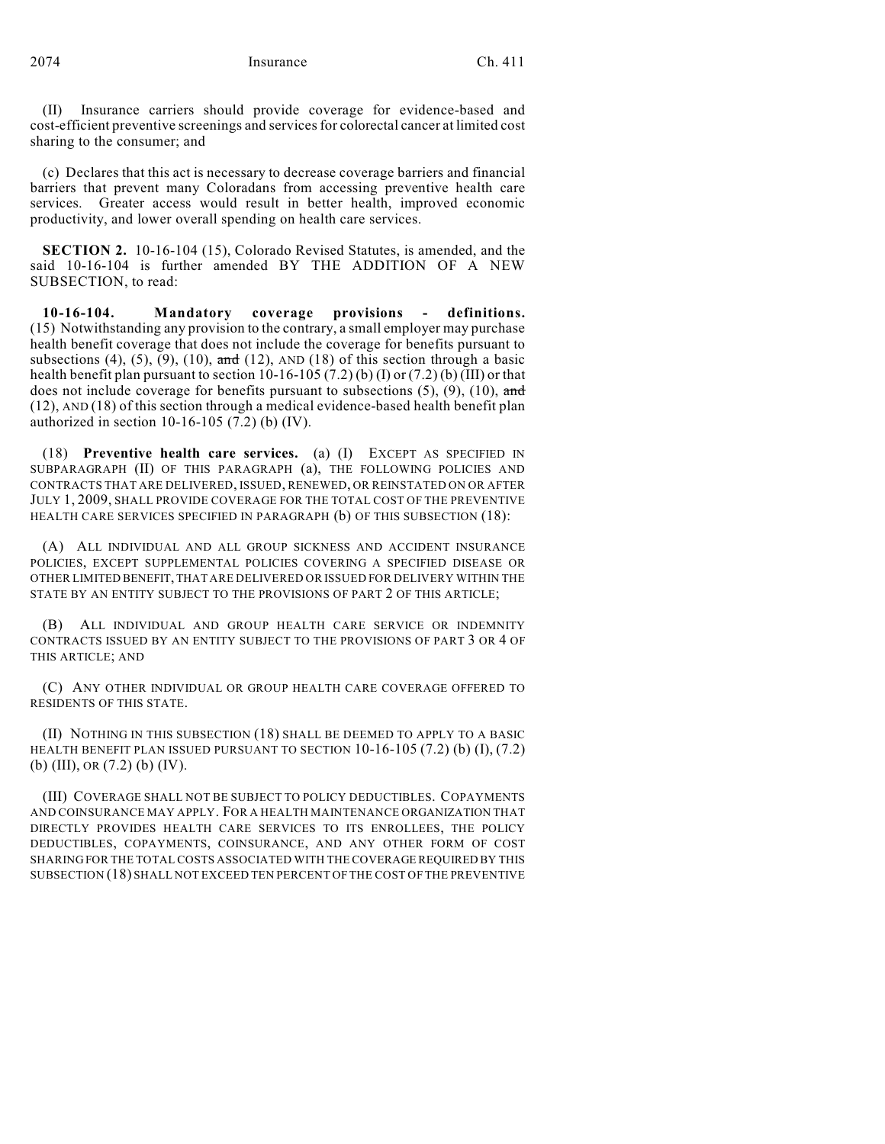(II) Insurance carriers should provide coverage for evidence-based and cost-efficient preventive screenings and services for colorectal cancer at limited cost sharing to the consumer; and

(c) Declares that this act is necessary to decrease coverage barriers and financial barriers that prevent many Coloradans from accessing preventive health care services. Greater access would result in better health, improved economic productivity, and lower overall spending on health care services.

**SECTION 2.** 10-16-104 (15), Colorado Revised Statutes, is amended, and the said 10-16-104 is further amended BY THE ADDITION OF A NEW SUBSECTION, to read:

**10-16-104. Mandatory coverage provisions - definitions.** (15) Notwithstanding any provision to the contrary, a small employer may purchase health benefit coverage that does not include the coverage for benefits pursuant to subsections (4), (5), (9), (10),  $\frac{d}{dt}$  (12), AND (18) of this section through a basic health benefit plan pursuant to section 10-16-105 (7.2) (b) (I) or (7.2) (b) (III) or that does not include coverage for benefits pursuant to subsections  $(5)$ ,  $(9)$ ,  $(10)$ , and (12), AND (18) of this section through a medical evidence-based health benefit plan authorized in section 10-16-105 (7.2) (b) (IV).

(18) **Preventive health care services.** (a) (I) EXCEPT AS SPECIFIED IN SUBPARAGRAPH (II) OF THIS PARAGRAPH (a), THE FOLLOWING POLICIES AND CONTRACTS THAT ARE DELIVERED, ISSUED, RENEWED, OR REINSTATED ON OR AFTER JULY 1, 2009, SHALL PROVIDE COVERAGE FOR THE TOTAL COST OF THE PREVENTIVE HEALTH CARE SERVICES SPECIFIED IN PARAGRAPH (b) OF THIS SUBSECTION (18):

(A) ALL INDIVIDUAL AND ALL GROUP SICKNESS AND ACCIDENT INSURANCE POLICIES, EXCEPT SUPPLEMENTAL POLICIES COVERING A SPECIFIED DISEASE OR OTHER LIMITED BENEFIT, THAT ARE DELIVERED OR ISSUED FOR DELIVERY WITHIN THE STATE BY AN ENTITY SUBJECT TO THE PROVISIONS OF PART 2 OF THIS ARTICLE;

(B) ALL INDIVIDUAL AND GROUP HEALTH CARE SERVICE OR INDEMNITY CONTRACTS ISSUED BY AN ENTITY SUBJECT TO THE PROVISIONS OF PART 3 OR 4 OF THIS ARTICLE; AND

(C) ANY OTHER INDIVIDUAL OR GROUP HEALTH CARE COVERAGE OFFERED TO RESIDENTS OF THIS STATE.

(II) NOTHING IN THIS SUBSECTION (18) SHALL BE DEEMED TO APPLY TO A BASIC HEALTH BENEFIT PLAN ISSUED PURSUANT TO SECTION 10-16-105 (7.2) (b) (I), (7.2) (b) (III), OR (7.2) (b) (IV).

(III) COVERAGE SHALL NOT BE SUBJECT TO POLICY DEDUCTIBLES. COPAYMENTS AND COINSURANCE MAY APPLY. FOR A HEALTH MAINTENANCE ORGANIZATION THAT DIRECTLY PROVIDES HEALTH CARE SERVICES TO ITS ENROLLEES, THE POLICY DEDUCTIBLES, COPAYMENTS, COINSURANCE, AND ANY OTHER FORM OF COST SHARING FOR THE TOTAL COSTS ASSOCIATED WITH THE COVERAGE REQUIRED BY THIS SUBSECTION (18) SHALL NOT EXCEED TEN PERCENT OFTHE COST OF THE PREVENTIVE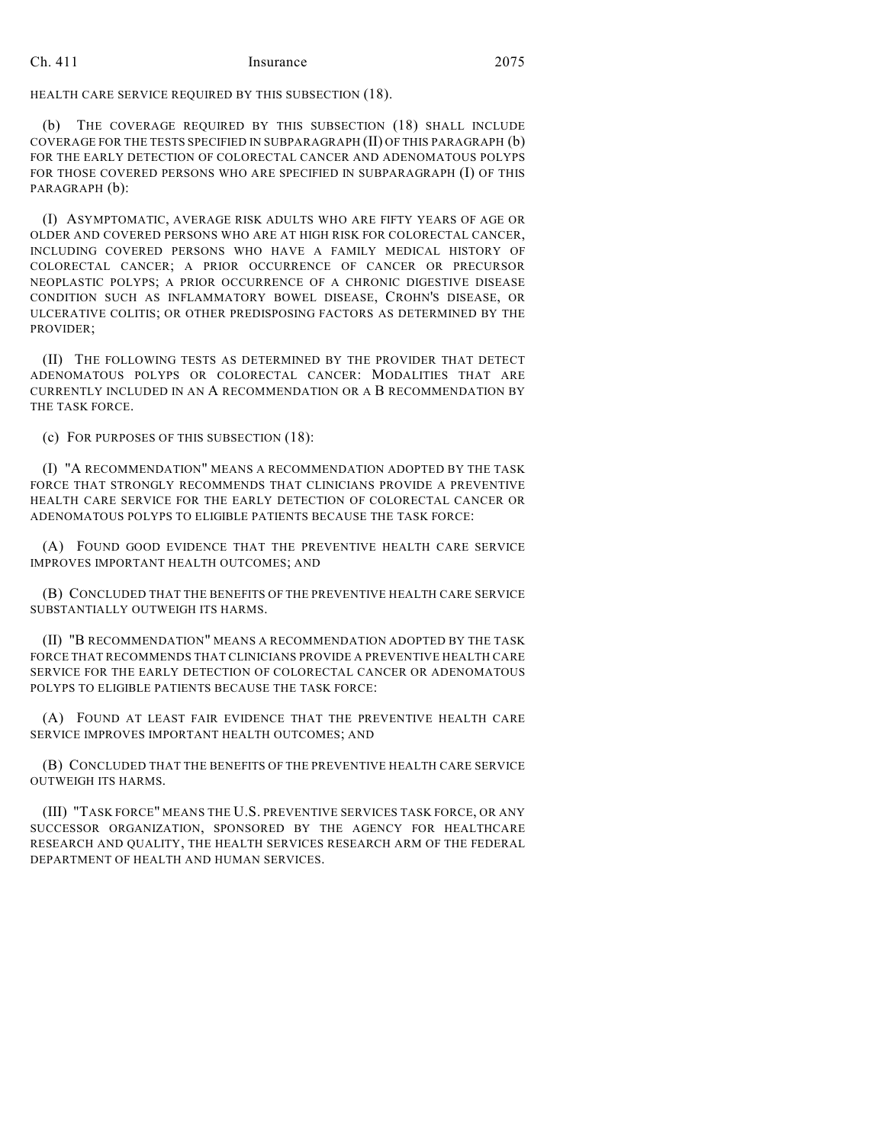## Ch. 411 Insurance 2075

HEALTH CARE SERVICE REQUIRED BY THIS SUBSECTION (18).

(b) THE COVERAGE REQUIRED BY THIS SUBSECTION (18) SHALL INCLUDE COVERAGE FOR THE TESTS SPECIFIED IN SUBPARAGRAPH (II) OF THIS PARAGRAPH (b) FOR THE EARLY DETECTION OF COLORECTAL CANCER AND ADENOMATOUS POLYPS FOR THOSE COVERED PERSONS WHO ARE SPECIFIED IN SUBPARAGRAPH (I) OF THIS PARAGRAPH (b):

(I) ASYMPTOMATIC, AVERAGE RISK ADULTS WHO ARE FIFTY YEARS OF AGE OR OLDER AND COVERED PERSONS WHO ARE AT HIGH RISK FOR COLORECTAL CANCER, INCLUDING COVERED PERSONS WHO HAVE A FAMILY MEDICAL HISTORY OF COLORECTAL CANCER; A PRIOR OCCURRENCE OF CANCER OR PRECURSOR NEOPLASTIC POLYPS; A PRIOR OCCURRENCE OF A CHRONIC DIGESTIVE DISEASE CONDITION SUCH AS INFLAMMATORY BOWEL DISEASE, CROHN'S DISEASE, OR ULCERATIVE COLITIS; OR OTHER PREDISPOSING FACTORS AS DETERMINED BY THE PROVIDER;

(II) THE FOLLOWING TESTS AS DETERMINED BY THE PROVIDER THAT DETECT ADENOMATOUS POLYPS OR COLORECTAL CANCER: MODALITIES THAT ARE CURRENTLY INCLUDED IN AN A RECOMMENDATION OR A B RECOMMENDATION BY THE TASK FORCE.

(c) FOR PURPOSES OF THIS SUBSECTION (18):

(I) "A RECOMMENDATION" MEANS A RECOMMENDATION ADOPTED BY THE TASK FORCE THAT STRONGLY RECOMMENDS THAT CLINICIANS PROVIDE A PREVENTIVE HEALTH CARE SERVICE FOR THE EARLY DETECTION OF COLORECTAL CANCER OR ADENOMATOUS POLYPS TO ELIGIBLE PATIENTS BECAUSE THE TASK FORCE:

(A) FOUND GOOD EVIDENCE THAT THE PREVENTIVE HEALTH CARE SERVICE IMPROVES IMPORTANT HEALTH OUTCOMES; AND

(B) CONCLUDED THAT THE BENEFITS OF THE PREVENTIVE HEALTH CARE SERVICE SUBSTANTIALLY OUTWEIGH ITS HARMS.

(II) "B RECOMMENDATION" MEANS A RECOMMENDATION ADOPTED BY THE TASK FORCE THAT RECOMMENDS THAT CLINICIANS PROVIDE A PREVENTIVE HEALTH CARE SERVICE FOR THE EARLY DETECTION OF COLORECTAL CANCER OR ADENOMATOUS POLYPS TO ELIGIBLE PATIENTS BECAUSE THE TASK FORCE:

(A) FOUND AT LEAST FAIR EVIDENCE THAT THE PREVENTIVE HEALTH CARE SERVICE IMPROVES IMPORTANT HEALTH OUTCOMES; AND

(B) CONCLUDED THAT THE BENEFITS OF THE PREVENTIVE HEALTH CARE SERVICE OUTWEIGH ITS HARMS.

(III) "TASK FORCE" MEANS THE U.S. PREVENTIVE SERVICES TASK FORCE, OR ANY SUCCESSOR ORGANIZATION, SPONSORED BY THE AGENCY FOR HEALTHCARE RESEARCH AND QUALITY, THE HEALTH SERVICES RESEARCH ARM OF THE FEDERAL DEPARTMENT OF HEALTH AND HUMAN SERVICES.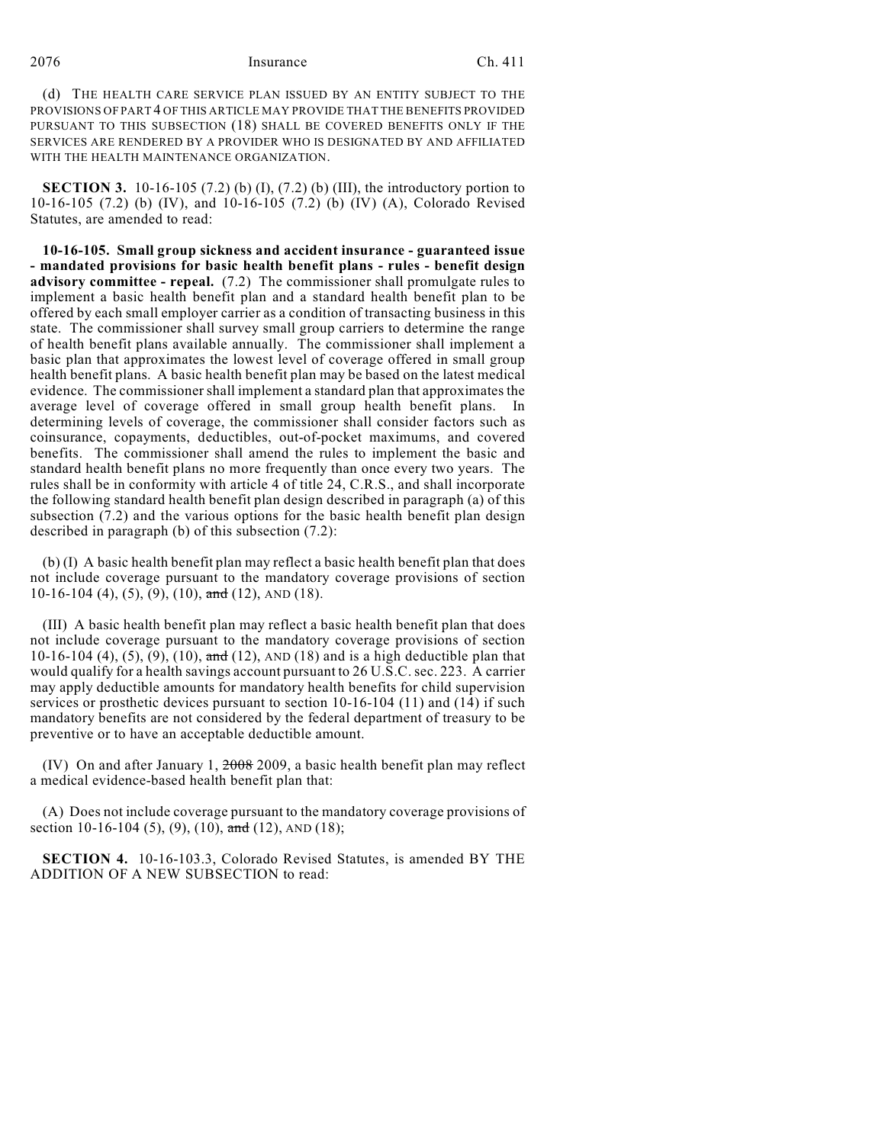#### 2076 Insurance Ch. 411

(d) THE HEALTH CARE SERVICE PLAN ISSUED BY AN ENTITY SUBJECT TO THE PROVISIONS OF PART 4 OF THIS ARTICLE MAY PROVIDE THAT THE BENEFITS PROVIDED PURSUANT TO THIS SUBSECTION (18) SHALL BE COVERED BENEFITS ONLY IF THE SERVICES ARE RENDERED BY A PROVIDER WHO IS DESIGNATED BY AND AFFILIATED WITH THE HEALTH MAINTENANCE ORGANIZATION.

**SECTION 3.** 10-16-105 (7.2) (b) (I), (7.2) (b) (III), the introductory portion to 10-16-105 (7.2) (b) (IV), and 10-16-105 (7.2) (b) (IV) (A), Colorado Revised Statutes, are amended to read:

**10-16-105. Small group sickness and accident insurance - guaranteed issue - mandated provisions for basic health benefit plans - rules - benefit design advisory committee - repeal.** (7.2) The commissioner shall promulgate rules to implement a basic health benefit plan and a standard health benefit plan to be offered by each small employer carrier as a condition of transacting business in this state. The commissioner shall survey small group carriers to determine the range of health benefit plans available annually. The commissioner shall implement a basic plan that approximates the lowest level of coverage offered in small group health benefit plans. A basic health benefit plan may be based on the latest medical evidence. The commissioner shall implement a standard plan that approximates the average level of coverage offered in small group health benefit plans. In determining levels of coverage, the commissioner shall consider factors such as coinsurance, copayments, deductibles, out-of-pocket maximums, and covered benefits. The commissioner shall amend the rules to implement the basic and standard health benefit plans no more frequently than once every two years. The rules shall be in conformity with article 4 of title 24, C.R.S., and shall incorporate the following standard health benefit plan design described in paragraph (a) of this subsection (7.2) and the various options for the basic health benefit plan design described in paragraph (b) of this subsection (7.2):

(b) (I) A basic health benefit plan may reflect a basic health benefit plan that does not include coverage pursuant to the mandatory coverage provisions of section 10-16-104 (4), (5), (9), (10), and (12), AND (18).

(III) A basic health benefit plan may reflect a basic health benefit plan that does not include coverage pursuant to the mandatory coverage provisions of section 10-16-104 (4), (5), (9), (10),  $\frac{1}{\text{and}}$  (12), AND (18) and is a high deductible plan that would qualify for a health savings account pursuant to 26 U.S.C. sec. 223. A carrier may apply deductible amounts for mandatory health benefits for child supervision services or prosthetic devices pursuant to section 10-16-104 (11) and (14) if such mandatory benefits are not considered by the federal department of treasury to be preventive or to have an acceptable deductible amount.

(IV) On and after January 1,  $2008$  2009, a basic health benefit plan may reflect a medical evidence-based health benefit plan that:

(A) Does not include coverage pursuant to the mandatory coverage provisions of section 10-16-104 (5), (9), (10), and (12), AND (18);

**SECTION 4.** 10-16-103.3, Colorado Revised Statutes, is amended BY THE ADDITION OF A NEW SUBSECTION to read: